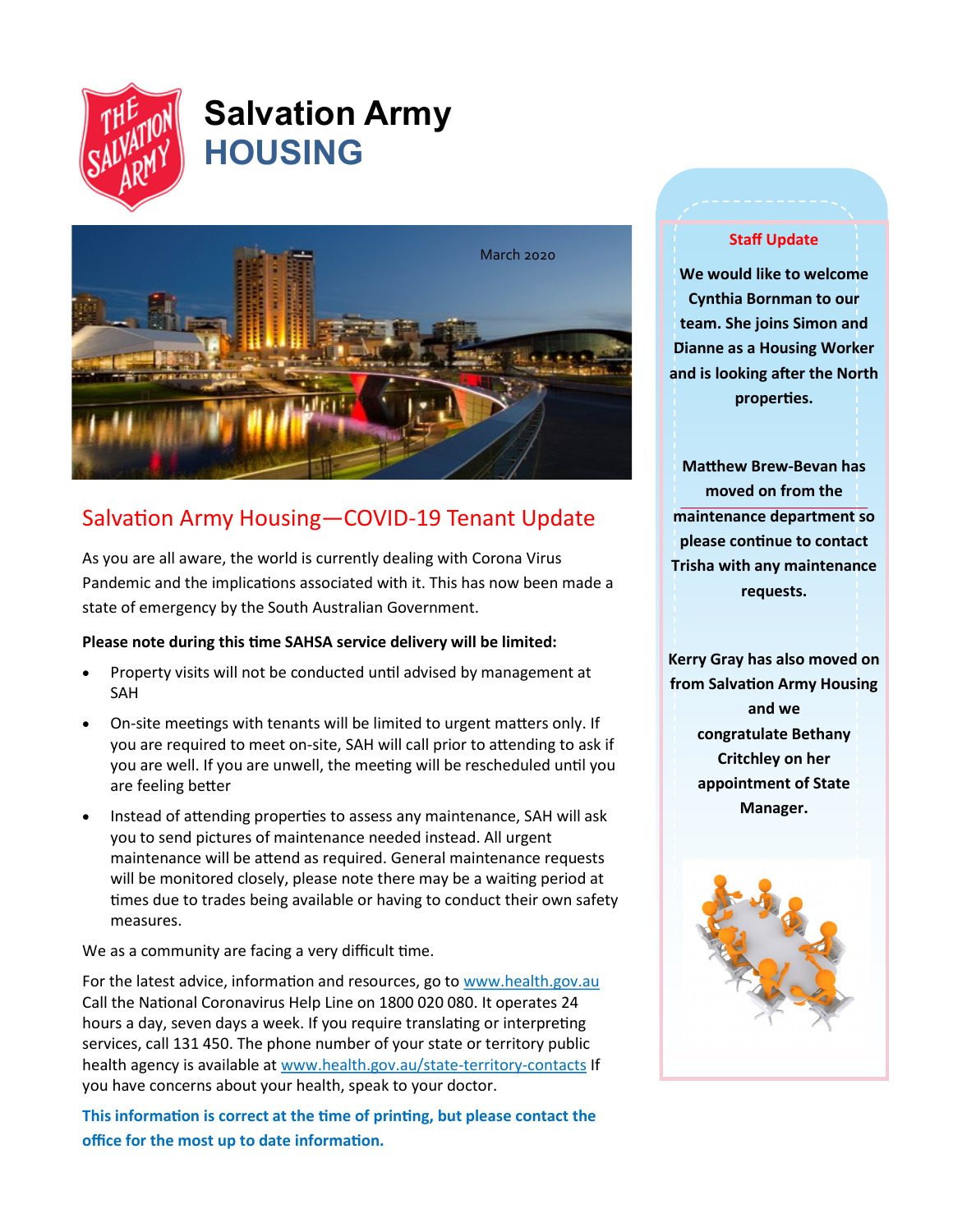

# **Salvation Army HOUSING**



# Salvation Army Housing—COVID-19 Tenant Update

As you are all aware, the world is currently dealing with Corona Virus Pandemic and the implications associated with it. This has now been made a state of emergency by the South Australian Government.

#### **Please note during this time SAHSA service delivery will be limited:**

- Property visits will not be conducted until advised by management at SAH
- On-site meetings with tenants will be limited to urgent matters only. If you are required to meet on-site, SAH will call prior to attending to ask if you are well. If you are unwell, the meeting will be rescheduled until you are feeling better
- Instead of attending properties to assess any maintenance, SAH will ask you to send pictures of maintenance needed instead. All urgent maintenance will be attend as required. General maintenance requests will be monitored closely, please note there may be a waiting period at times due to trades being available or having to conduct their own safety measures.

We as a community are facing a very difficult time.

For the latest advice, information and resources, go to [www.health.gov.au](http://www.health.gov.au) Call the National Coronavirus Help Line on 1800 020 080. It operates 24 hours a day, seven days a week. If you require translating or interpreting services, call 131 450. The phone number of your state or territory public health agency is available at [www.health.gov.au/state](http://www.health.gov.au/state-territory-contacts)-territory-contacts If you have concerns about your health, speak to your doctor.

**This information is correct at the time of printing, but please contact the office for the most up to date information.**

#### **Staff Update**

. **Dianne as a Housing Worker We would like to welcome Cynthia Bornman to our team. She joins Simon and and is looking after the North properties.**

**Matthew Brew-Bevan has moved on from the maintenance department so please continue to contact Trisha with any maintenance requests.** 

**Kerry Gray has also moved on from Salvation Army Housing and we congratulate Bethany Critchley on her appointment of State Manager.**